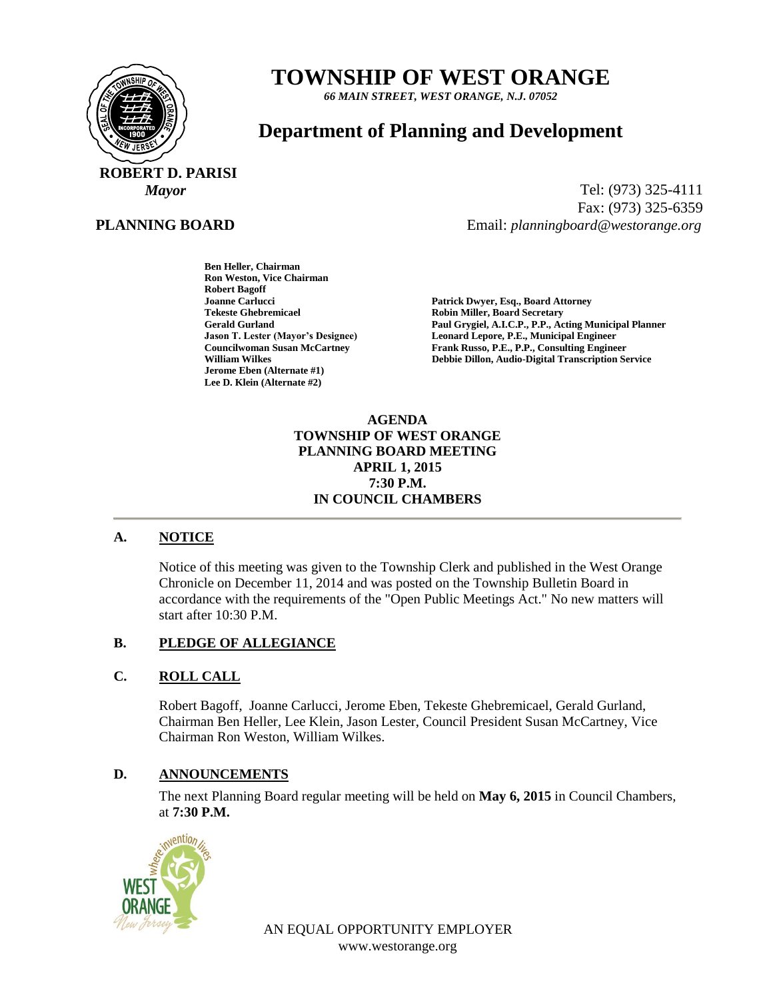

# **TOWNSHIP OF WEST ORANGE**

*66 MAIN STREET, WEST ORANGE, N.J. 07052*

# **Department of Planning and Development**

 **ROBERT D. PARISI**

#### **PLANNING BOARD**

*Mayor* Tel: (973) 325-4111 Fax: (973) 325-6359 Email: *planningboard@westorange.org*

> **Ben Heller, Chairman Ron Weston, Vice Chairman Robert Bagoff Tekeste Ghebremicael and Secretary Cerald Gurland Control Cerald Gurland Cerald Gurland Cerald Gurland Cerald Cerald Cerald Cerald Cerald Cerald Cerald Cerald Cerald Cerald Cerald Cerald Cerald Cerald Cerald Cerald Cerald Jerome Eben (Alternate #1) Lee D. Klein (Alternate #2)**

**Joanne Carlucci Patrick Dwyer, Esq., Board Attorney** Paul Grygiel, A.I.C.P., P.P., Acting Municipal Planner **Jason T. Lester (Mayor's Designee) Leonard Lepore, P.E., Municipal Engineer Councilwoman Susan McCartney Frank Russo, P.E., P.P., Consulting Engineer<br>
William Wilkes<br>
Pebbie Dillon, Audio-Digital Transcription Se Debbie Dillon, Audio-Digital Transcription Service** 

#### **AGENDA TOWNSHIP OF WEST ORANGE PLANNING BOARD MEETING APRIL 1, 2015 7:30 P.M. IN COUNCIL CHAMBERS**

# **A. NOTICE**

Notice of this meeting was given to the Township Clerk and published in the West Orange Chronicle on December 11, 2014 and was posted on the Township Bulletin Board in accordance with the requirements of the "Open Public Meetings Act." No new matters will start after 10:30 P.M.

#### **B. PLEDGE OF ALLEGIANCE**

# **C. ROLL CALL**

Robert Bagoff, Joanne Carlucci, Jerome Eben, Tekeste Ghebremicael, Gerald Gurland, Chairman Ben Heller, Lee Klein, Jason Lester, Council President Susan McCartney, Vice Chairman Ron Weston, William Wilkes.

#### **D. ANNOUNCEMENTS**

The next Planning Board regular meeting will be held on **May 6, 2015** in Council Chambers, at **7:30 P.M.**



AN EQUAL OPPORTUNITY EMPLOYER www.westorange.org